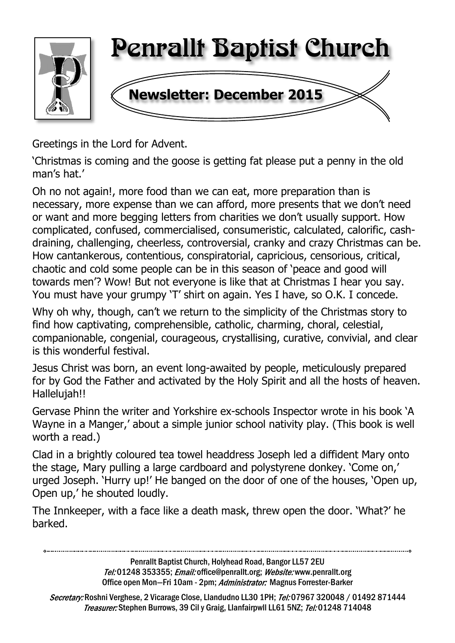

Greetings in the Lord for Advent.

'Christmas is coming and the goose is getting fat please put a penny in the old man's hat.'

Oh no not again!, more food than we can eat, more preparation than is necessary, more expense than we can afford, more presents that we don't need or want and more begging letters from charities we don't usually support. How complicated, confused, commercialised, consumeristic, calculated, calorific, cashdraining, challenging, cheerless, controversial, cranky and crazy Christmas can be. How cantankerous, contentious, conspiratorial, capricious, censorious, critical, chaotic and cold some people can be in this season of 'peace and good will towards men'? Wow! But not everyone is like that at Christmas I hear you say. You must have your grumpy 'T' shirt on again. Yes I have, so O.K. I concede.

Why oh why, though, can't we return to the simplicity of the Christmas story to find how captivating, comprehensible, catholic, charming, choral, celestial, companionable, congenial, courageous, crystallising, curative, convivial, and clear is this wonderful festival.

Jesus Christ was born, an event long-awaited by people, meticulously prepared for by God the Father and activated by the Holy Spirit and all the hosts of heaven. Hallelujah!!

Gervase Phinn the writer and Yorkshire ex-schools Inspector wrote in his book 'A Wayne in a Manger,' about a simple junior school nativity play. (This book is well worth a read.)

Clad in a brightly coloured tea towel headdress Joseph led a diffident Mary onto the stage, Mary pulling a large cardboard and polystyrene donkey. 'Come on,' urged Joseph. 'Hurry up!' He banged on the door of one of the houses, 'Open up, Open up,' he shouted loudly.

The Innkeeper, with a face like a death mask, threw open the door. 'What?' he barked.

Penrallt Baptist Church, Holyhead Road, Bangor LL57 2EU Tel:01248 353355; Email: office@penrallt.org; Website: www.penrallt.org Office open Mon-Fri 10am - 2pm: Administrator: Magnus Forrester-Barker

Secretary: Roshni Verghese, 2 Vicarage Close, Llandudno LL30 1PH; Tel: 07967 320048 / 01492 871444 Treasurer: Stephen Burrows, 39 Cil y Graig, Llanfairpwll LL61 5NZ; Tel: 01248 714048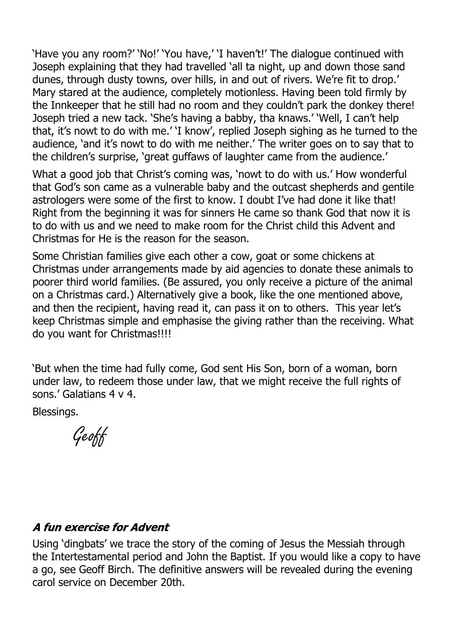'Have you any room?' 'No!' 'You have,' 'I haven't!' The dialogue continued with Joseph explaining that they had travelled 'all ta night, up and down those sand dunes, through dusty towns, over hills, in and out of rivers. We're fit to drop.' Mary stared at the audience, completely motionless. Having been told firmly by the Innkeeper that he still had no room and they couldn't park the donkey there! Joseph tried a new tack. 'She's having a babby, tha knaws.' 'Well, I can't help that, it's nowt to do with me.' 'I know', replied Joseph sighing as he turned to the audience, 'and it's nowt to do with me neither.' The writer goes on to say that to the children's surprise, 'great guffaws of laughter came from the audience.'

What a good job that Christ's coming was, 'nowt to do with us.' How wonderful that God's son came as a vulnerable baby and the outcast shepherds and gentile astrologers were some of the first to know. I doubt I've had done it like that! Right from the beginning it was for sinners He came so thank God that now it is to do with us and we need to make room for the Christ child this Advent and Christmas for He is the reason for the season.

Some Christian families give each other a cow, goat or some chickens at Christmas under arrangements made by aid agencies to donate these animals to poorer third world families. (Be assured, you only receive a picture of the animal on a Christmas card.) Alternatively give a book, like the one mentioned above, and then the recipient, having read it, can pass it on to others. This year let's keep Christmas simple and emphasise the giving rather than the receiving. What do you want for Christmas!!!!

'But when the time had fully come, God sent His Son, born of a woman, born under law, to redeem those under law, that we might receive the full rights of sons.' Galatians 4 v 4.

Blessings.

Geoff

#### A fun exercise for Advent

Using 'dingbats' we trace the story of the coming of Jesus the Messiah through the Intertestamental period and John the Baptist. If you would like a copy to have a go, see Geoff Birch. The definitive answers will be revealed during the evening carol service on December 20th.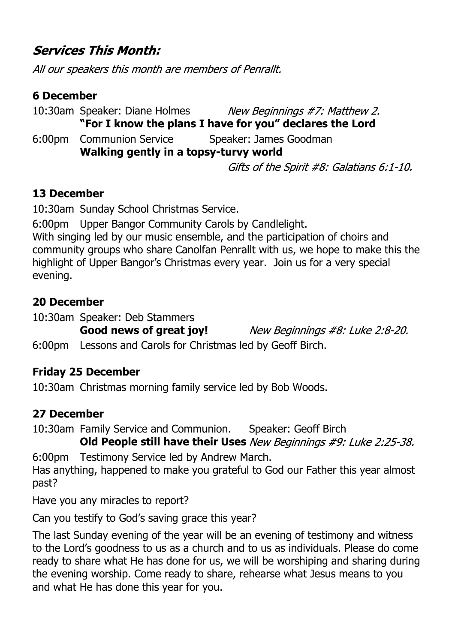### **Services This Month:**

All our speakers this month are members of Penrallt.

#### **6 December**

10:30am Speaker: Diane Holmes New Beginnings #7: Matthew 2. **"For I know the plans I have for you" declares the Lord** 6:00pm Communion Service Speaker: James Goodman **Walking gently in a topsy-turvy world** Gifts of the Spirit #8: Galatians 6:1-10.

#### **13 December**

10:30am Sunday School Christmas Service.

6:00pm Upper Bangor Community Carols by Candlelight.

With singing led by our music ensemble, and the participation of choirs and community groups who share Canolfan Penrallt with us, we hope to make this the highlight of Upper Bangor's Christmas every year. Join us for a very special evening.

#### **20 December**

10:30am Speaker: Deb Stammers

New Beginnings #8: Luke 2:8-20.

6:00pm Lessons and Carols for Christmas led by Geoff Birch.

#### **Friday 25 December**

10:30am Christmas morning family service led by Bob Woods.

#### **27 December**

10:30am Family Service and Communion. Speaker: Geoff Birch

**Old People still have their Uses** New Beginnings #9: Luke 2:25-38.

6:00pm Testimony Service led by Andrew March.

**Good news of great joy!**

Has anything, happened to make you grateful to God our Father this year almost past?

Have you any miracles to report?

Can you testify to God's saving grace this year?

The last Sunday evening of the year will be an evening of testimony and witness to the Lord's goodness to us as a church and to us as individuals. Please do come ready to share what He has done for us, we will be worshiping and sharing during the evening worship. Come ready to share, rehearse what Jesus means to you and what He has done this year for you.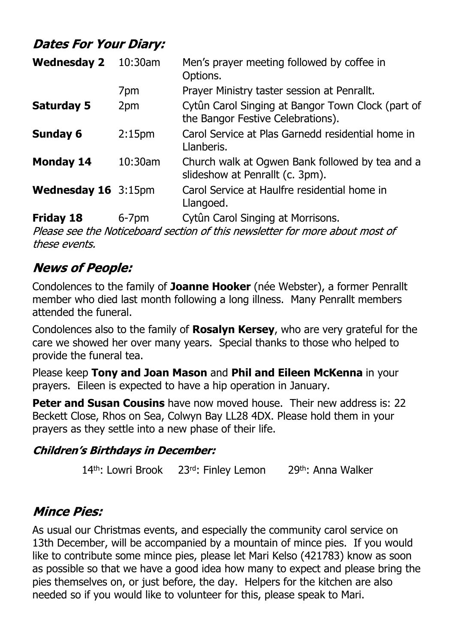# **Dates For Your Diary:**

| <b>Wednesday 2</b>  | 10:30am            | Men's prayer meeting followed by coffee in<br>Options.                                 |  |
|---------------------|--------------------|----------------------------------------------------------------------------------------|--|
|                     | 7pm                | Prayer Ministry taster session at Penrallt.                                            |  |
| <b>Saturday 5</b>   | 2pm                | Cytûn Carol Singing at Bangor Town Clock (part of<br>the Bangor Festive Celebrations). |  |
| <b>Sunday 6</b>     | 2:15 <sub>pm</sub> | Carol Service at Plas Garnedd residential home in<br>Llanberis.                        |  |
| <b>Monday 14</b>    | 10:30am            | Church walk at Ogwen Bank followed by tea and a<br>slideshow at Penrallt (c. 3pm).     |  |
| Wednesday 16 3:15pm |                    | Carol Service at Haulfre residential home in<br>Llangoed.                              |  |
| <b>Friday 18</b>    | $6 - 7$ pm         | Cytûn Carol Singing at Morrisons.                                                      |  |

Please see the Noticeboard section of this newsletter for more about most of these events.

#### **News of People:**

Condolences to the family of **Joanne Hooker** (née Webster), a former Penrallt member who died last month following a long illness. Many Penrallt members attended the funeral.

Condolences also to the family of **Rosalyn Kersey**, who are very grateful for the care we showed her over many years. Special thanks to those who helped to provide the funeral tea.

Please keep **Tony and Joan Mason** and **Phil and Eileen McKenna** in your prayers. Eileen is expected to have a hip operation in January.

**Peter and Susan Cousins** have now moved house. Their new address is: 22 Beckett Close, Rhos on Sea, Colwyn Bay LL28 4DX. Please hold them in your prayers as they settle into a new phase of their life.

#### **Children's Birthdays in December:**

14<sup>th</sup>: Lowri Brook 23rd: Finley Lemon 29<sup>th</sup>: Anna Walker

# **Mince Pies:**

As usual our Christmas events, and especially the community carol service on 13th December, will be accompanied by a mountain of mince pies. If you would like to contribute some mince pies, please let Mari Kelso (421783) know as soon as possible so that we have a good idea how many to expect and please bring the pies themselves on, or just before, the day. Helpers for the kitchen are also needed so if you would like to volunteer for this, please speak to Mari.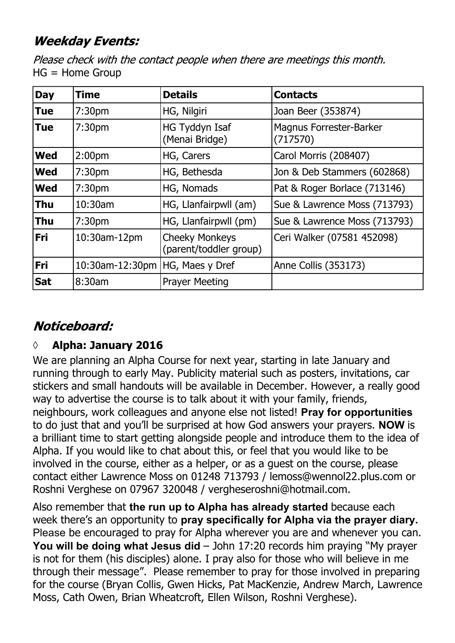# **Weekday Events:**

Please check with the contact people when there are meetings this month. HG = Home Group

| <b>Day</b> | <b>Time</b>        | <b>Details</b>                                  | <b>Contacts</b>                            |
|------------|--------------------|-------------------------------------------------|--------------------------------------------|
| <b>Tue</b> | 7:30 <sub>pm</sub> | HG, Nilgiri                                     | Joan Beer (353874)                         |
| <b>Tue</b> | 7:30 <sub>pm</sub> | <b>HG Tyddyn Isaf</b><br>(Menai Bridge)         | <b>Magnus Forrester-Barker</b><br>(717570) |
| <b>Wed</b> | 2:00 <sub>pm</sub> | HG, Carers                                      | Carol Morris (208407)                      |
| <b>Wed</b> | 7:30pm             | HG, Bethesda                                    | Jon & Deb Stammers (602868)                |
| <b>Wed</b> | 7:30 <sub>pm</sub> | HG, Nomads                                      | Pat & Roger Borlace (713146)               |
| <b>Thu</b> | 10:30am            | HG, Llanfairpwll (am)                           | Sue & Lawrence Moss (713793)               |
| <b>Thu</b> | 7:30 <sub>pm</sub> | HG, Llanfairpwll (pm)                           | Sue & Lawrence Moss (713793)               |
| <b>Fri</b> | 10:30am-12pm       | <b>Cheeky Monkeys</b><br>(parent/toddler group) | Ceri Walker (07581 452098)                 |
| <b>Fri</b> | 10:30am-12:30pm    | HG, Maes y Dref                                 | Anne Collis (353173)                       |
| <b>Sat</b> | 8:30am             | <b>Prayer Meeting</b>                           |                                            |

# Noticeboard:

#### **◊ Alpha: January 2016**

We are planning an Alpha Course for next year, starting in late January and running through to early May. Publicity material such as posters, invitations, car stickers and small handouts will be available in December. However, a really good way to advertise the course is to talk about it with your family, friends, neighbours, work colleagues and anyone else not listed! **Pray for opportunities** to do just that and you'll be surprised at how God answers your prayers. **NOW** is a brilliant time to start getting alongside people and introduce them to the idea of Alpha. If you would like to chat about this, or feel that you would like to be involved in the course, either as a helper, or as a guest on the course, please contact either Lawrence Moss on 01248 713793 / lemoss@wennol22.plus.com or Roshni Verghese on 07967 320048 / vergheseroshni@hotmail.com.

Also remember that **the run up to Alpha has already started** because each week there's an opportunity to **pray specifically for Alpha via the prayer diary.** Please be encouraged to pray for Alpha wherever you are and whenever you can. **You will be doing what Jesus did** – John 17:20 records him praying "My prayer is not for them (his disciples) alone. I pray also for those who will believe in me through their message". Please remember to pray for those involved in preparing for the course (Bryan Collis, Gwen Hicks, Pat MacKenzie, Andrew March, Lawrence Moss, Cath Owen, Brian Wheatcroft, Ellen Wilson, Roshni Verghese).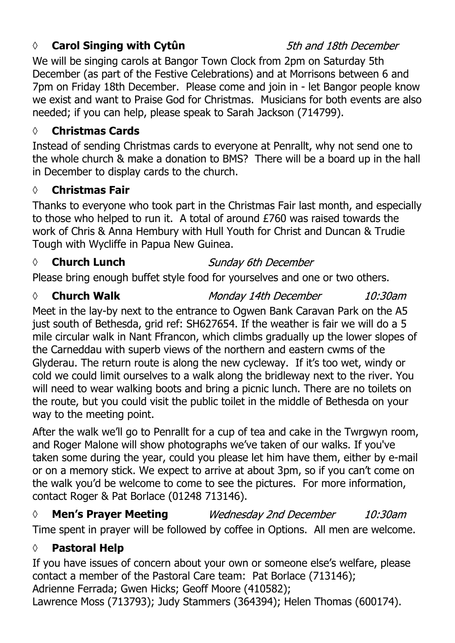#### *◊* **Carol Singing with Cytûn**

#### 5th and 18th December

10:30am

We will be singing carols at Bangor Town Clock from 2pm on Saturday 5th December (as part of the Festive Celebrations) and at Morrisons between 6 and 7pm on Friday 18th December. Please come and join in - let Bangor people know we exist and want to Praise God for Christmas. Musicians for both events are also needed; if you can help, please speak to Sarah Jackson (714799).

#### **◊ Christmas Cards**

Instead of sending Christmas cards to everyone at Penrallt, why not send one to the whole church & make a donation to BMS? There will be a board up in the hall in December to display cards to the church.

#### **◊ Christmas Fair**

Thanks to everyone who took part in the Christmas Fair last month, and especially to those who helped to run it. A total of around £760 was raised towards the work of Chris & Anna Hembury with Hull Youth for Christ and Duncan & Trudie Tough with Wycliffe in Papua New Guinea.

#### *◊* **Church Lunch**

#### **Sunday 6th December**

Monday 14th December

Please bring enough buffet style food for yourselves and one or two others.

#### *◊* **Church Walk**

Meet in the lay-by next to the entrance to Ogwen Bank Caravan Park on the A5 just south of Bethesda, grid ref: SH627654. If the weather is fair we will do a 5 mile circular walk in Nant Ffrancon, which climbs gradually up the lower slopes of the Carneddau with superb views of the northern and eastern cwms of the Glyderau. The return route is along the new cycleway. If it's too wet, windy or cold we could limit ourselves to a walk along the bridleway next to the river. You will need to wear walking boots and bring a picnic lunch. There are no toilets on the route, but you could visit the public toilet in the middle of Bethesda on your way to the meeting point.

After the walk we'll go to Penrallt for a cup of tea and cake in the Twrgwyn room, and Roger Malone will show photographs we've taken of our walks. If you've taken some during the year, could you please let him have them, either by e-mail or on a memory stick. We expect to arrive at about 3pm, so if you can't come on the walk you'd be welcome to come to see the pictures. For more information, contact Roger & Pat Borlace (01248 713146).

#### *◊* **Men's Prayer Meeting Wednesday 2nd December**  $10:30$ am

Time spent in prayer will be followed by coffee in Options. All men are welcome.

#### **◊ Pastoral Help**

If you have issues of concern about your own or someone else's welfare, please contact a member of the Pastoral Care team: Pat Borlace (713146); Adrienne Ferrada; Gwen Hicks; Geoff Moore (410582); Lawrence Moss (713793); Judy Stammers (364394); Helen Thomas (600174).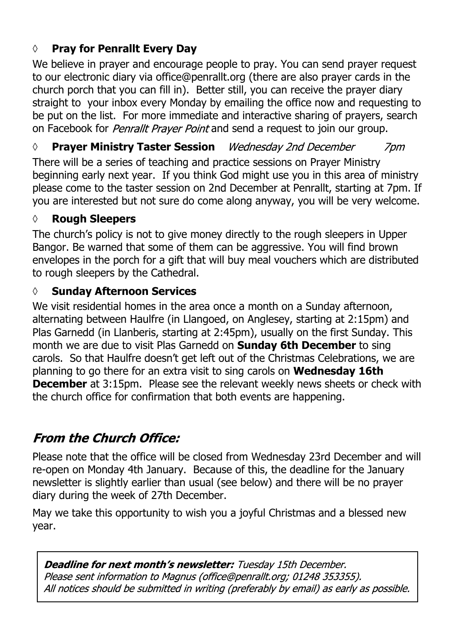### **◊ Pray for Penrallt Every Day**

We believe in prayer and encourage people to pray. You can send prayer request to our electronic diary via office@penrallt.org (there are also prayer cards in the church porch that you can fill in). Better still, you can receive the prayer diary straight to your inbox every Monday by emailing the office now and requesting to be put on the list. For more immediate and interactive sharing of prayers, search on Facebook for *Penrallt Prayer Point* and send a request to join our group.

#### *◊* **Prayer Ministry Taster Session** 7<sub>pm</sub>

There will be a series of teaching and practice sessions on Prayer Ministry beginning early next year. If you think God might use you in this area of ministry please come to the taster session on 2nd December at Penrallt, starting at 7pm. If you are interested but not sure do come along anyway, you will be very welcome.

#### **◊ Rough Sleepers**

The church's policy is not to give money directly to the rough sleepers in Upper Bangor. Be warned that some of them can be aggressive. You will find brown envelopes in the porch for a gift that will buy meal vouchers which are distributed to rough sleepers by the Cathedral.

#### **◊ Sunday Afternoon Services**

We visit residential homes in the area once a month on a Sunday afternoon, alternating between Haulfre (in Llangoed, on Anglesey, starting at 2:15pm) and Plas Garnedd (in Llanberis, starting at 2:45pm), usually on the first Sunday. This month we are due to visit Plas Garnedd on **Sunday 6th December** to sing carols. So that Haulfre doesn't get left out of the Christmas Celebrations, we are planning to go there for an extra visit to sing carols on **Wednesday 16th December** at 3:15pm. Please see the relevant weekly news sheets or check with the church office for confirmation that both events are happening.

# **From the Church Office:**

Please note that the office will be closed from Wednesday 23rd December and will re-open on Monday 4th January. Because of this, the deadline for the January newsletter is slightly earlier than usual (see below) and there will be no prayer diary during the week of 27th December.

May we take this opportunity to wish you a joyful Christmas and a blessed new year.

**Deadline for next month's newsletter:** Tuesday 15th December. Please sent information to Magnus (office@penrallt.org; 01248 353355). All notices should be submitted in writing (preferably by email) as early as possible.